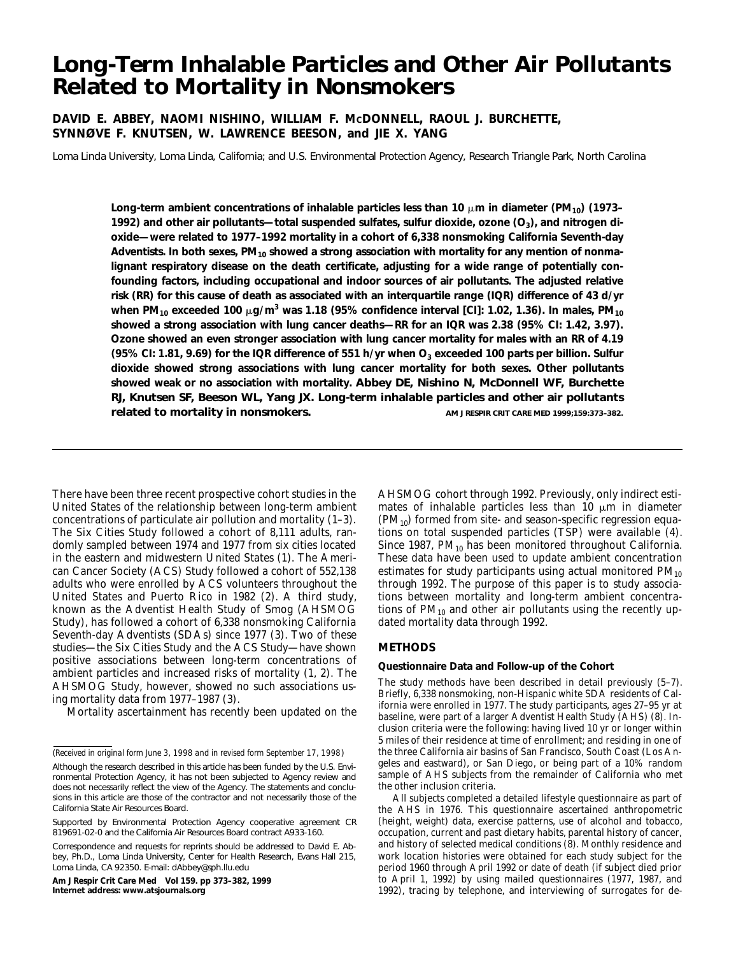# **Long-Term Inhalable Particles and Other Air Pollutants Related to Mortality in Nonsmokers**

# **DAVID E. ABBEY, NAOMI NISHINO, WILLIAM F. MCDONNELL, RAOUL J. BURCHETTE, SYNNØVE F. KNUTSEN, W. LAWRENCE BEESON, and JIE X. YANG**

Loma Linda University, Loma Linda, California; and U.S. Environmental Protection Agency, Research Triangle Park, North Carolina

Long-term ambient concentrations of inhalable particles less than 10 μm in diameter (PM<sub>10</sub>) (1973– **1992) and other air pollutants—total suspended sulfates, sulfur dioxide, ozone (O<sub>3</sub>), and nitrogen dioxide—were related to 1977–1992 mortality in a cohort of 6,338 nonsmoking California Seventh-day** Adventists. In both sexes, PM<sub>10</sub> showed a strong association with mortality for any mention of nonma**lignant respiratory disease on the death certificate, adjusting for a wide range of potentially confounding factors, including occupational and indoor sources of air pollutants. The adjusted relative risk (RR) for this cause of death as associated with an interquartile range (IQR) difference of 43 d/yr** when PM<sub>10</sub> exceeded 100 µg/m<sup>3</sup> was 1.18 (95% confidence interval [CI]: 1.02, 1.36). In males, PM<sub>10</sub> **showed a strong association with lung cancer deaths—RR for an IQR was 2.38 (95% CI: 1.42, 3.97). Ozone showed an even stronger association with lung cancer mortality for males with an RR of 4.19** (95% CI: 1.81, 9.69) for the IQR difference of 551 h/yr when O<sub>3</sub> exceeded 100 parts per billion. Sulfur **dioxide showed strong associations with lung cancer mortality for both sexes. Other pollutants showed weak or no association with mortality. Abbey DE, Nishino N, McDonnell WF, Burchette RJ, Knutsen SF, Beeson WL, Yang JX. Long-term inhalable particles and other air pollutants related to mortality in nonsmokers. AM J RESPIR CRIT CARE MED 1999;159:373-382.** 

There have been three recent prospective cohort studies in the United States of the relationship between long-term ambient concentrations of particulate air pollution and mortality (1–3). The Six Cities Study followed a cohort of 8,111 adults, randomly sampled between 1974 and 1977 from six cities located in the eastern and midwestern United States (1). The American Cancer Society (ACS) Study followed a cohort of 552,138 adults who were enrolled by ACS volunteers throughout the United States and Puerto Rico in 1982 (2). A third study, known as the Adventist Health Study of Smog (AHSMOG Study), has followed a cohort of 6,338 nonsmoking California Seventh-day Adventists (SDAs) since 1977 (3). Two of these studies—the Six Cities Study and the ACS Study—have shown positive associations between long-term concentrations of ambient particles and increased risks of mortality (1, 2). The AHSMOG Study, however, showed no such associations using mortality data from 1977–1987 (3).

Mortality ascertainment has recently been updated on the

**Am J Respir Crit Care Med Vol 159. pp 373–382, 1999 Internet address: www.atsjournals.org**

AHSMOG cohort through 1992. Previously, only indirect estimates of inhalable particles less than 10  $\mu$ m in diameter  $(PM_{10})$  formed from site- and season-specific regression equations on total suspended particles (TSP) were available (4). Since 1987,  $PM_{10}$  has been monitored throughout California. These data have been used to update ambient concentration estimates for study participants using actual monitored  $PM_{10}$ through 1992. The purpose of this paper is to study associations between mortality and long-term ambient concentrations of  $PM_{10}$  and other air pollutants using the recently updated mortality data through 1992.

# **METHODS**

## **Questionnaire Data and Follow-up of the Cohort**

The study methods have been described in detail previously (5–7). Briefly, 6,338 nonsmoking, non-Hispanic white SDA residents of California were enrolled in 1977. The study participants, ages 27–95 yr at baseline, were part of a larger Adventist Health Study (AHS) (8). Inclusion criteria were the following: having lived 10 yr or longer within 5 miles of their residence at time of enrollment; and residing in one of the three California air basins of San Francisco, South Coast (Los Angeles and eastward), or San Diego, or being part of a 10% random sample of AHS subjects from the remainder of California who met the other inclusion criteria.

All subjects completed a detailed lifestyle questionnaire as part of the AHS in 1976. This questionnaire ascertained anthropometric (height, weight) data, exercise patterns, use of alcohol and tobacco, occupation, current and past dietary habits, parental history of cancer, and history of selected medical conditions (8). Monthly residence and work location histories were obtained for each study subject for the period 1960 through April 1992 or date of death (if subject died prior to April 1, 1992) by using mailed questionnaires (1977, 1987, and 1992), tracing by telephone, and interviewing of surrogates for de-

<sup>(</sup>*Received in original form June 3, 1998 and in revised form September 17, 1998*) Although the research described in this article has been funded by the U.S. Environmental Protection Agency, it has not been subjected to Agency review and does not necessarily reflect the view of the Agency. The statements and conclusions in this article are those of the contractor and not necessarily those of the California State Air Resources Board.

Supported by Environmental Protection Agency cooperative agreement CR 819691-02-0 and the California Air Resources Board contract A933-160.

Correspondence and requests for reprints should be addressed to David E. Abbey, Ph.D., Loma Linda University, Center for Health Research, Evans Hall 215, Loma Linda, CA 92350. E-mail: dAbbey@sph.llu.edu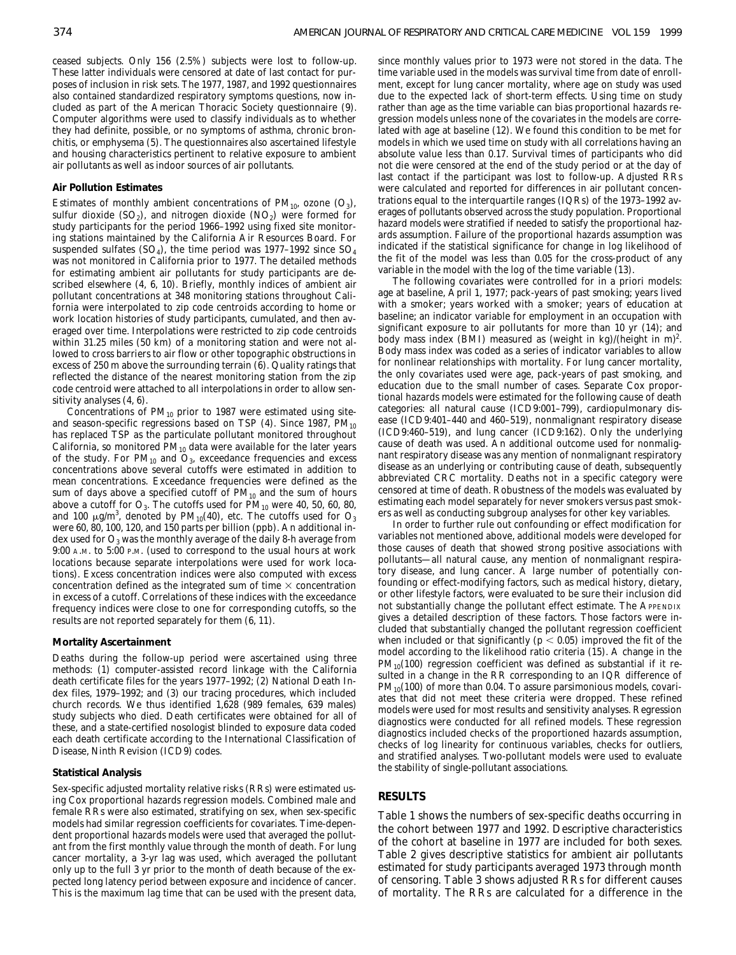ceased subjects. Only 156 (2.5%) subjects were lost to follow-up. These latter individuals were censored at date of last contact for purposes of inclusion in risk sets. The 1977, 1987, and 1992 questionnaires also contained standardized respiratory symptoms questions, now included as part of the American Thoracic Society questionnaire (9). Computer algorithms were used to classify individuals as to whether they had definite, possible, or no symptoms of asthma, chronic bronchitis, or emphysema (5). The questionnaires also ascertained lifestyle and housing characteristics pertinent to relative exposure to ambient air pollutants as well as indoor sources of air pollutants.

## **Air Pollution Estimates**

Estimates of monthly ambient concentrations of  $PM_{10}$ , ozone  $(O_3)$ , sulfur dioxide  $(SO_2)$ , and nitrogen dioxide  $(NO_2)$  were formed for study participants for the period 1966–1992 using fixed site monitoring stations maintained by the California Air Resources Board. For suspended sulfates (SO<sub>4</sub>), the time period was 1977–1992 since  $SO_4$ was not monitored in California prior to 1977. The detailed methods for estimating ambient air pollutants for study participants are described elsewhere (4, 6, 10). Briefly, monthly indices of ambient air pollutant concentrations at 348 monitoring stations throughout California were interpolated to zip code centroids according to home or work location histories of study participants, cumulated, and then averaged over time. Interpolations were restricted to zip code centroids within 31.25 miles (50 km) of a monitoring station and were not allowed to cross barriers to air flow or other topographic obstructions in excess of 250 m above the surrounding terrain (6). Quality ratings that reflected the distance of the nearest monitoring station from the zip code centroid were attached to all interpolations in order to allow sensitivity analyses (4, 6).

Concentrations of  $PM_{10}$  prior to 1987 were estimated using siteand season-specific regressions based on TSP  $(4)$ . Since 1987, PM<sub>10</sub> has replaced TSP as the particulate pollutant monitored throughout California, so monitored  $PM_{10}$  data were available for the later years of the study. For  $PM_{10}$  and  $O_3$ , exceedance frequencies and excess concentrations above several cutoffs were estimated in addition to mean concentrations. Exceedance frequencies were defined as the sum of days above a specified cutoff of  $PM_{10}$  and the sum of hours above a cutoff for  $O_3$ . The cutoffs used for  $PM_{10}$  were 40, 50, 60, 80, and 100  $\mu$ g/m<sup>3</sup>, denoted by PM<sub>10</sub>(40), etc. The cutoffs used for  $\text{O}_3$ were 60, 80, 100, 120, and 150 parts per billion (ppb). An additional index used for  $O_3$  was the monthly average of the daily 8-h average from 9:00 A.M. to 5:00 P.M. (used to correspond to the usual hours at work locations because separate interpolations were used for work locations). Excess concentration indices were also computed with excess concentration defined as the integrated sum of time  $\times$  concentration in excess of a cutoff. Correlations of these indices with the exceedance frequency indices were close to one for corresponding cutoffs, so the results are not reported separately for them (6, 11).

#### **Mortality Ascertainment**

Deaths during the follow-up period were ascertained using three methods: (*1*) computer-assisted record linkage with the California death certificate files for the years 1977–1992; (*2*) National Death Index files, 1979–1992; and (*3*) our tracing procedures, which included church records. We thus identified 1,628 (989 females, 639 males) study subjects who died. Death certificates were obtained for all of these, and a state-certified nosologist blinded to exposure data coded each death certificate according to the International Classification of Disease, Ninth Revision (ICD9) codes.

## **Statistical Analysis**

Sex-specific adjusted mortality relative risks (RRs) were estimated using Cox proportional hazards regression models. Combined male and female RRs were also estimated, stratifying on sex, when sex-specific models had similar regression coefficients for covariates. Time-dependent proportional hazards models were used that averaged the pollutant from the first monthly value through the month of death. For lung cancer mortality, a 3-yr lag was used, which averaged the pollutant only up to the full 3 yr prior to the month of death because of the expected long latency period between exposure and incidence of cancer. This is the maximum lag time that can be used with the present data,

since monthly values prior to 1973 were not stored in the data. The time variable used in the models was survival time from date of enrollment, except for lung cancer mortality, where age on study was used due to the expected lack of short-term effects. Using time on study rather than age as the time variable can bias proportional hazards regression models unless none of the covariates in the models are correlated with age at baseline (12). We found this condition to be met for models in which we used time on study with all correlations having an absolute value less than 0.17. Survival times of participants who did not die were censored at the end of the study period or at the day of last contact if the participant was lost to follow-up. Adjusted RRs were calculated and reported for differences in air pollutant concentrations equal to the interquartile ranges (IQRs) of the 1973–1992 averages of pollutants observed across the study population. Proportional hazard models were stratified if needed to satisfy the proportional hazards assumption. Failure of the proportional hazards assumption was indicated if the statistical significance for change in log likelihood of the fit of the model was less than 0.05 for the cross-product of any variable in the model with the log of the time variable (13).

The following covariates were controlled for in *a priori* models: age at baseline, April 1, 1977; pack-years of past smoking; years lived with a smoker; years worked with a smoker; years of education at baseline; an indicator variable for employment in an occupation with significant exposure to air pollutants for more than 10 yr (14); and body mass index (BMI) measured as (weight in kg)/(height in m)<sup>2</sup>. Body mass index was coded as a series of indicator variables to allow for nonlinear relationships with mortality. For lung cancer mortality, the only covariates used were age, pack-years of past smoking, and education due to the small number of cases. Separate Cox proportional hazards models were estimated for the following cause of death categories: all natural cause (ICD9:001–799), cardiopulmonary disease (ICD9:401–440 and 460–519), nonmalignant respiratory disease (ICD9:460–519), and lung cancer (ICD9:162). Only the underlying cause of death was used. An additional outcome used for nonmalignant respiratory disease was any mention of nonmalignant respiratory disease as an underlying or contributing cause of death, subsequently abbreviated CRC mortality. Deaths not in a specific category were censored at time of death. Robustness of the models was evaluated by estimating each model separately for never smokers versus past smokers as well as conducting subgroup analyses for other key variables.

In order to further rule out confounding or effect modification for variables not mentioned above, additional models were developed for those causes of death that showed strong positive associations with pollutants—all natural cause, any mention of nonmalignant respiratory disease, and lung cancer. A large number of potentially confounding or effect-modifying factors, such as medical history, dietary, or other lifestyle factors, were evaluated to be sure their inclusion did not substantially change the pollutant effect estimate. The APPENDIX gives a detailed description of these factors. Those factors were included that substantially changed the pollutant regression coefficient when included or that significantly ( $p < 0.05$ ) improved the fit of the model according to the likelihood ratio criteria (15). A change in the  $PM_{10}(100)$  regression coefficient was defined as substantial if it resulted in a change in the RR corresponding to an IQR difference of  $PM_{10}(100)$  of more than 0.04. To assure parsimonious models, covariates that did not meet these criteria were dropped. These refined models were used for most results and sensitivity analyses. Regression diagnostics were conducted for all refined models. These regression diagnostics included checks of the proportioned hazards assumption, checks of log linearity for continuous variables, checks for outliers, and stratified analyses. Two-pollutant models were used to evaluate the stability of single-pollutant associations.

# **RESULTS**

Table 1 shows the numbers of sex-specific deaths occurring in the cohort between 1977 and 1992. Descriptive characteristics of the cohort at baseline in 1977 are included for both sexes. Table 2 gives descriptive statistics for ambient air pollutants estimated for study participants averaged 1973 through month of censoring. Table 3 shows adjusted RRs for different causes of mortality. The RRs are calculated for a difference in the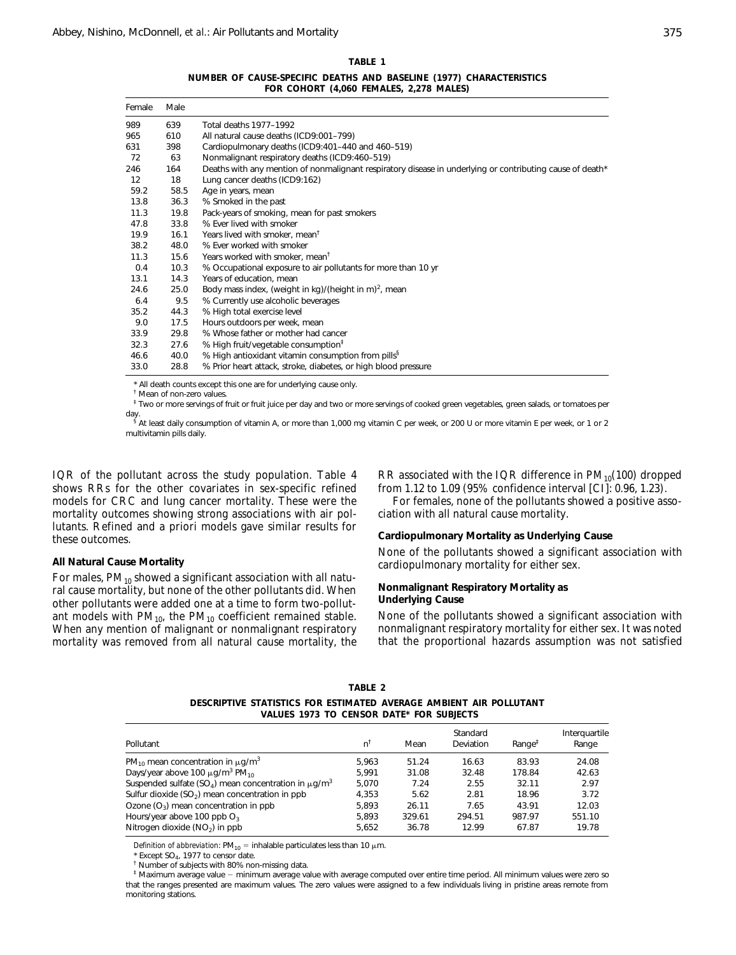## **TABLE 1**

**NUMBER OF CAUSE-SPECIFIC DEATHS AND BASELINE (1977) CHARACTERISTICS FOR COHORT (4,060 FEMALES, 2,278 MALES)**

| Female            | Male |                                                                                                           |
|-------------------|------|-----------------------------------------------------------------------------------------------------------|
| 989               | 639  | Total deaths 1977-1992                                                                                    |
| 965               | 610  | All natural cause deaths (ICD9:001-799)                                                                   |
| 631               | 398  | Cardiopulmonary deaths (ICD9:401-440 and 460-519)                                                         |
| 72                | 63   | Nonmalignant respiratory deaths (ICD9:460-519)                                                            |
| 246               | 164  | Deaths with any mention of nonmalignant respiratory disease in underlying or contributing cause of death* |
| $12 \overline{ }$ | 18   | Lung cancer deaths (ICD9:162)                                                                             |
| 59.2              | 58.5 | Age in years, mean                                                                                        |
| 13.8              | 36.3 | % Smoked in the past                                                                                      |
| 11.3              | 19.8 | Pack-years of smoking, mean for past smokers                                                              |
| 47.8              | 33.8 | % Ever lived with smoker                                                                                  |
| 19.9              | 16.1 | Years lived with smoker, mean <sup>t</sup>                                                                |
| 38.2              | 48.0 | % Ever worked with smoker                                                                                 |
| 11.3              | 15.6 | Years worked with smoker, mean <sup>t</sup>                                                               |
| 0.4               | 10.3 | % Occupational exposure to air pollutants for more than 10 yr                                             |
| 13.1              | 14.3 | Years of education, mean                                                                                  |
| 24.6              | 25.0 | Body mass index, (weight in kg)/(height in m) <sup>2</sup> , mean                                         |
| 6.4               | 9.5  | % Currently use alcoholic beverages                                                                       |
| 35.2              | 44.3 | % High total exercise level                                                                               |
| 9.0               | 17.5 | Hours outdoors per week, mean                                                                             |
| 33.9              | 29.8 | % Whose father or mother had cancer                                                                       |
| 32.3              | 27.6 | % High fruit/vegetable consumption <sup>‡</sup>                                                           |
| 46.6              | 40.0 | % High antioxidant vitamin consumption from pills <sup>§</sup>                                            |
| 33.0              | 28.8 | % Prior heart attack, stroke, diabetes, or high blood pressure                                            |

\* All death counts except this one are for underlying cause only.

† Mean of non-zero values.

 $^\ddag$  Two or more servings of fruit or fruit juice per day and two or more servings of cooked green vegetables, green salads, or tomatoes per

day.<br><sup>§</sup> At least daily consumption of vitamin A, or more than 1,000 mg vitamin C per week, or 200 U or more vitamin E per week, or 1 or 2 multivitamin pills daily.

IQR of the pollutant across the study population. Table 4 shows RRs for the other covariates in sex-specific refined models for CRC and lung cancer mortality. These were the mortality outcomes showing strong associations with air pollutants. Refined and *a priori* models gave similar results for these outcomes.

## **All Natural Cause Mortality**

For males,  $PM_{10}$  showed a significant association with all natural cause mortality, but none of the other pollutants did. When other pollutants were added one at a time to form two-pollutant models with  $PM_{10}$ , the  $PM_{10}$  coefficient remained stable. When any mention of malignant or nonmalignant respiratory mortality was removed from all natural cause mortality, the RR associated with the IQR difference in  $PM_{10}(100)$  dropped from 1.12 to 1.09 (95% confidence interval [CI]: 0.96, 1.23).

For females, none of the pollutants showed a positive association with all natural cause mortality.

**Cardiopulmonary Mortality as Underlying Cause**

None of the pollutants showed a significant association with cardiopulmonary mortality for either sex.

## **Nonmalignant Respiratory Mortality as Underlying Cause**

None of the pollutants showed a significant association with nonmalignant respiratory mortality for either sex. It was noted that the proportional hazards assumption was not satisfied

**TABLE 2**

**DESCRIPTIVE STATISTICS FOR ESTIMATED AVERAGE AMBIENT AIR POLLUTANT VALUES 1973 TO CENSOR DATE\* FOR SUBJECTS**

|                                                                                   |               |        | Standard  |                    | Interguartile |
|-----------------------------------------------------------------------------------|---------------|--------|-----------|--------------------|---------------|
| Pollutant                                                                         | $n^{\dagger}$ | Mean   | Deviation | $Range^{\ddagger}$ | Range         |
| $PM_{10}$ mean concentration in $\mu$ g/m <sup>3</sup>                            | 5.963         | 51.24  | 16.63     | 83.93              | 24.08         |
| Days/year above 100 $\mu$ g/m <sup>3</sup> PM <sub>10</sub>                       | 5.991         | 31.08  | 32.48     | 178.84             | 42.63         |
| Suspended sulfate (SO <sub>4</sub> ) mean concentration in $\mu$ q/m <sup>3</sup> | 5.070         | 7.24   | 2.55      | 32.11              | 2.97          |
| Sulfur dioxide (SO <sub>2</sub> ) mean concentration in ppb                       | 4.353         | 5.62   | 2.81      | 18.96              | 3.72          |
| Ozone $(O_3)$ mean concentration in ppb                                           | 5.893         | 26.11  | 7.65      | 43.91              | 12.03         |
| Hours/year above 100 ppb $O_3$                                                    | 5.893         | 329.61 | 294.51    | 987.97             | 551.10        |
| Nitrogen dioxide (NO <sub>2</sub> ) in ppb                                        | 5.652         | 36.78  | 12.99     | 67.87              | 19.78         |

*Definition of abbreviation*:  $PM_{10}$  = inhalable particulates less than 10  $\mu$ m.

 $*$  Except SO<sub>4</sub>, 1977 to censor date.

<sup>†</sup> Number of subjects with 80% non-missing data.

 $^\ddag$  Maximum average value – minimum average value with average computed over entire time period. All minimum values were zero so that the ranges presented are maximum values. The zero values were assigned to a few individuals living in pristine areas remote from monitoring stations.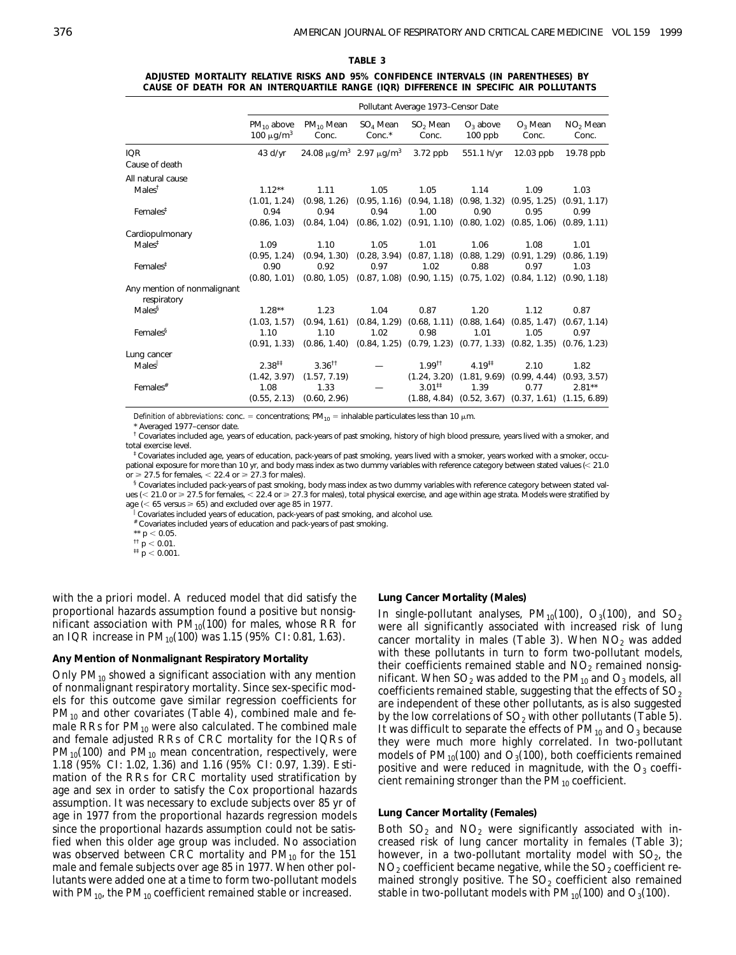| TABLE 3 |                                                                                       |  |  |  |  |  |  |  |  |
|---------|---------------------------------------------------------------------------------------|--|--|--|--|--|--|--|--|
|         | ADJUSTED MORTALITY RELATIVE RISKS AND 95% CONFIDENCE INTERVALS (IN PARENTHESES) BY    |  |  |  |  |  |  |  |  |
|         | CAUSE OF DEATH FOR AN INTERQUARTILE RANGE (IQR) DIFFERENCE IN SPECIFIC AIR POLLUTANTS |  |  |  |  |  |  |  |  |

|                                            |                                               |                                                          |                      | Pollutant Average 1973–Censor Date           |                          |                                                                                    |                               |
|--------------------------------------------|-----------------------------------------------|----------------------------------------------------------|----------------------|----------------------------------------------|--------------------------|------------------------------------------------------------------------------------|-------------------------------|
|                                            | $PM_{10}$ above<br>100 $\mu$ g/m <sup>3</sup> | $PM_{10}$ Mean<br>Conc.                                  | $SO4$ Mean<br>Conc.* | SO <sub>2</sub> Mean<br>Conc.                | $O_3$ above<br>$100$ ppb | $O_3$ Mean<br>Conc.                                                                | NO <sub>2</sub> Mean<br>Conc. |
| <b>IQR</b><br>Cause of death               | $43$ d/yr                                     | 24.08 $\mu$ g/m <sup>3</sup> 2.97 $\mu$ g/m <sup>3</sup> |                      | $3.72$ ppb                                   | 551.1 h/yr               | $12.03$ ppb                                                                        | 19.78 ppb                     |
| All natural cause                          |                                               |                                                          |                      |                                              |                          |                                                                                    |                               |
| Males <sup>†</sup>                         | $1.12***$<br>(1.01, 1.24)                     | 1.11<br>(0.98, 1.26)                                     | 1.05                 | 1.05                                         | 1.14                     | 1.09<br>$(0.95, 1.16)$ $(0.94, 1.18)$ $(0.98, 1.32)$ $(0.95, 1.25)$ $(0.91, 1.17)$ | 1.03                          |
| Females <sup>#</sup>                       | 0.94                                          | 0.94                                                     | 0.94                 | 1.00                                         | 0.90                     | 0.95                                                                               | 0.99                          |
|                                            | (0.86, 1.03)                                  | (0.84, 1.04)                                             |                      |                                              |                          | $(0.86, 1.02)$ $(0.91, 1.10)$ $(0.80, 1.02)$ $(0.85, 1.06)$ $(0.89, 1.11)$         |                               |
| Cardiopulmonary                            |                                               |                                                          |                      |                                              |                          |                                                                                    |                               |
| Males <sup>‡</sup>                         | 1.09                                          | 1.10                                                     | 1.05                 | 1.01                                         | 1.06                     | 1.08                                                                               | 1.01                          |
|                                            | (0.95, 1.24)                                  | (0.94, 1.30)                                             |                      |                                              |                          | $(0.28, 3.94)$ $(0.87, 1.18)$ $(0.88, 1.29)$ $(0.91, 1.29)$                        | (0.86, 1.19)                  |
| $F$ emales <sup><math>#</math></sup>       | 0.90                                          | 0.92                                                     | 0.97                 | 1.02                                         | 0.88                     | 0.97                                                                               | 1.03                          |
|                                            |                                               | $(0.80, 1.01)$ $(0.80, 1.05)$                            |                      |                                              |                          | $(0.87, 1.08)$ $(0.90, 1.15)$ $(0.75, 1.02)$ $(0.84, 1.12)$ $(0.90, 1.18)$         |                               |
| Any mention of nonmalignant<br>respiratory |                                               |                                                          |                      |                                              |                          |                                                                                    |                               |
| Males <sup>§</sup>                         | $1.28***$                                     | 1.23                                                     | 1.04                 | 0.87                                         | 1.20                     | 1.12                                                                               | 0.87                          |
|                                            | (1.03, 1.57)                                  | (0.94, 1.61)                                             |                      | $(0.84, 1.29)$ $(0.68, 1.11)$ $(0.88, 1.64)$ |                          | (0.85, 1.47)                                                                       | (0.67, 1.14)                  |
| Females <sup>§</sup>                       | 1.10                                          | 1.10                                                     | 1.02                 | 0.98                                         | 1.01                     | 1.05                                                                               | 0.97                          |
|                                            | (0.91, 1.33)                                  | (0.86, 1.40)                                             |                      |                                              |                          | $(0.84, 1.25)$ $(0.79, 1.23)$ $(0.77, 1.33)$ $(0.82, 1.35)$ $(0.76, 1.23)$         |                               |
| Lung cancer                                |                                               |                                                          |                      |                                              |                          |                                                                                    |                               |
| Males                                      | $2.38^{11}$                                   | $3.36$ <sup>tt</sup>                                     |                      | $1.99$ <sup>tt</sup>                         | $4.19^{11}$              | 2.10                                                                               | 1.82                          |
|                                            | (1.42, 3.97)                                  | (1.57, 7.19)                                             |                      |                                              |                          | $(1.24, 3.20)$ $(1.81, 9.69)$ $(0.99, 4.44)$                                       | (0.93, 3.57)                  |
| Females $#$                                | 1.08                                          | 1.33                                                     |                      | $3.01^{11}$                                  | 1.39                     | 0.77                                                                               | $2.81***$                     |
|                                            |                                               | $(0.55, 2.13)$ $(0.60, 2.96)$                            |                      |                                              |                          | $(1.88, 4.84)$ $(0.52, 3.67)$ $(0.37, 1.61)$ $(1.15, 6.89)$                        |                               |

*Definition of abbreviations*: conc. = concentrations;  $PM_{10}$  = inhalable particulates less than 10  $\mu$ m.

Averaged 1977–censor date

 $^\dagger$  Covariates included age, years of education, pack-years of past smoking, history of high blood pressure, years lived with a smoker, and total exercise level.

‡ Covariates included age, years of education, pack-years of past smoking, years lived with a smoker, years worked with a smoker, occupational exposure for more than 10 yr, and body mass index as two dummy variables with reference category between stated values  $\ll$  21.0 or  $\geq$  27.5 for females,  $<$  22.4 or  $\geq$  27.3 for males).

 $\,{}^{\text{s}}$  Covariates included pack-years of past smoking, body mass index as two dummy variables with reference category between stated values (< 21.0 or  $\geq$  27.5 for females, < 22.4 or  $\geq$  27.3 for males), total physical exercise, and age within age strata. Models were stratified by age ( $<$  65 versus  $\ge$  65) and excluded over age 85 in 1977.

Covariates included years of education, pack-years of past smoking, and alcohol use.

# Covariates included years of education and pack-years of past smoking.

 $** p < 0.05$ .

 $\frac{1}{11}$  p < 0.01.

 $\frac{1}{p}$  = 0.001.

with the *a priori* model. A reduced model that did satisfy the proportional hazards assumption found a positive but nonsignificant association with  $PM_{10}(100)$  for males, whose RR for an IQR increase in  $PM_{10}(100)$  was 1.15 (95% CI: 0.81, 1.63).

## **Any Mention of Nonmalignant Respiratory Mortality**

Only  $PM_{10}$  showed a significant association with any mention of nonmalignant respiratory mortality. Since sex-specific models for this outcome gave similar regression coefficients for  $PM_{10}$  and other covariates (Table 4), combined male and female RRs for  $PM_{10}$  were also calculated. The combined male and female adjusted RRs of CRC mortality for the IQRs of  $PM_{10}(100)$  and  $PM_{10}$  mean concentration, respectively, were 1.18 (95% CI: 1.02, 1.36) and 1.16 (95% CI: 0.97, 1.39). Estimation of the RRs for CRC mortality used stratification by age and sex in order to satisfy the Cox proportional hazards assumption. It was necessary to exclude subjects over 85 yr of age in 1977 from the proportional hazards regression models since the proportional hazards assumption could not be satisfied when this older age group was included. No association was observed between CRC mortality and  $PM_{10}$  for the 151 male and female subjects over age 85 in 1977. When other pollutants were added one at a time to form two-pollutant models with  $PM_{10}$ , the  $PM_{10}$  coefficient remained stable or increased.

## **Lung Cancer Mortality (Males)**

In single-pollutant analyses,  $PM_{10}(100)$ ,  $O_3(100)$ , and  $SO_2$ were all significantly associated with increased risk of lung cancer mortality in males (Table 3). When  $NO<sub>2</sub>$  was added with these pollutants in turn to form two-pollutant models, their coefficients remained stable and  $NO<sub>2</sub>$  remained nonsignificant. When  $SO_2$  was added to the  $PM_{10}$  and  $O_3$  models, all coefficients remained stable, suggesting that the effects of  $SO<sub>2</sub>$ are independent of these other pollutants, as is also suggested by the low correlations of  $SO<sub>2</sub>$  with other pollutants (Table 5). It was difficult to separate the effects of  $PM_{10}$  and  $O_3$  because they were much more highly correlated. In two-pollutant models of  $PM_{10}(100)$  and  $O_3(100)$ , both coefficients remained positive and were reduced in magnitude, with the  $O_3$  coefficient remaining stronger than the  $PM_{10}$  coefficient.

# **Lung Cancer Mortality (Females)**

Both  $SO_2$  and  $NO_2$  were significantly associated with increased risk of lung cancer mortality in females (Table 3); however, in a two-pollutant mortality model with  $SO<sub>2</sub>$ , the  $NO<sub>2</sub>$  coefficient became negative, while the  $SO<sub>2</sub>$  coefficient remained strongly positive. The  $SO<sub>2</sub>$  coefficient also remained stable in two-pollutant models with  $PM_{10}(100)$  and  $O_3(100)$ .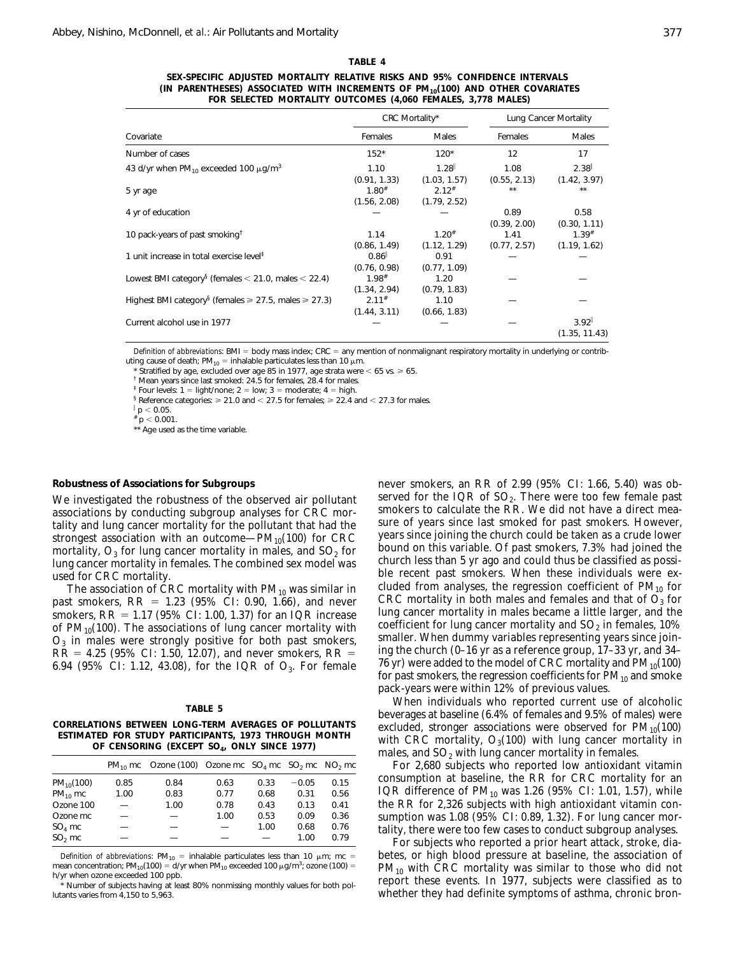| ł<br>$\sim$ |  |
|-------------|--|
|             |  |

| ARI F |  |
|-------|--|
|-------|--|

**SEX-SPECIFIC ADJUSTED MORTALITY RELATIVE RISKS AND 95% CONFIDENCE INTERVALS (IN PARENTHESES) ASSOCIATED WITH INCREMENTS OF PM10(100) AND OTHER COVARIATES FOR SELECTED MORTALITY OUTCOMES (4,060 FEMALES, 3,778 MALES)**

|                                                                            |                     | CRC Mortality* |              | Lung Cancer Mortality |  |
|----------------------------------------------------------------------------|---------------------|----------------|--------------|-----------------------|--|
| Covariate                                                                  | Females             | Males          | Females      | <b>Males</b>          |  |
| Number of cases                                                            | $152*$              | $120*$         | 12           | 17                    |  |
| 43 d/yr when $PM_{10}$ exceeded 100 $\mu$ g/m <sup>3</sup>                 | 1.10                | 1.28           | 1.08         | 2.38                  |  |
|                                                                            | (0.91, 1.33)        | (1.03, 1.57)   | (0.55, 2.13) | (1.42, 3.97)          |  |
| 5 yr age                                                                   | $1.80^{#}$          | $2.12^{*}$     | **           | **                    |  |
|                                                                            | (1.56, 2.08)        | (1.79, 2.52)   |              |                       |  |
| 4 yr of education                                                          |                     |                | 0.89         | 0.58                  |  |
|                                                                            |                     |                | (0.39, 2.00) | (0.30, 1.11)          |  |
| 10 pack-years of past smoking <sup>†</sup>                                 | 1.14                | $1.20^{#}$     | 1.41         | $1.39^{#}$            |  |
|                                                                            | (0.86, 1.49)        | (1.12, 1.29)   | (0.77, 2.57) | (1.19, 1.62)          |  |
| 1 unit increase in total exercise level <sup>#</sup>                       | 0.86                | 0.91           |              |                       |  |
|                                                                            | (0.76, 0.98)        | (0.77, 1.09)   |              |                       |  |
| Lowest BMI category <sup>§</sup> (females < 21.0, males < 22.4)            | $1.98$ <sup>#</sup> | 1.20           |              |                       |  |
|                                                                            | (1.34, 2.94)        | (0.79, 1.83)   |              |                       |  |
| Highest BMI category <sup>§</sup> (females $\ge 27.5$ , males $\ge 27.3$ ) | $2.11^{#}$          | 1.10           |              |                       |  |
|                                                                            | (1.44, 3.11)        | (0.66, 1.83)   |              |                       |  |
| Current alcohol use in 1977                                                |                     |                |              | 3.92                  |  |
|                                                                            |                     |                |              | (1.35, 11.43)         |  |

*Definition of abbreviations*: BMI = body mass index; CRC = any mention of nonmalignant respiratory mortality in underlying or contributing cause of death; PM<sub>10</sub> = inhalable particulates less than 10  $\mu$ m.

Stratified by age, excluded over age 85 in 1977, age strata were  $< 65$  vs.  $\ge 65$ .

† Mean years since last smoked: 24.5 for females, 28.4 for males.

<sup>‡</sup> Four levels:  $1 =$  light/none;  $2 =$  low;  $3 =$  moderate;  $4 =$  high.

 $\frac{1}{2}$  Reference categories:  $\geq 21.0$  and  $\leq 27.5$  for females;  $\geq 22.4$  and  $\leq 27.3$  for males.

 $p < 0.05$ .

 $^{\#}$  p  $<$  0.001. \*\* Age used as the time variable.

## **Robustness of Associations for Subgroups**

We investigated the robustness of the observed air pollutant associations by conducting subgroup analyses for CRC mortality and lung cancer mortality for the pollutant that had the strongest association with an outcome— $PM_{10}(100)$  for CRC mortality,  $O_3$  for lung cancer mortality in males, and  $SO_2$  for lung cancer mortality in females. The combined sex model was used for CRC mortality.

The association of CRC mortality with  $PM_{10}$  was similar in past smokers,  $RR = 1.23$  (95% CI: 0.90, 1.66), and never smokers,  $RR = 1.17 (95\% CI: 1.00, 1.37)$  for an IQR increase of  $PM_{10}(100)$ . The associations of lung cancer mortality with  $O<sub>3</sub>$  in males were strongly positive for both past smokers,  $RR = 4.25$  (95% CI: 1.50, 12.07), and never smokers,  $RR =$ 6.94 (95% CI: 1.12, 43.08), for the IQR of  $O_3$ . For female

| ۰<br>з.<br>AD |  |
|---------------|--|
|---------------|--|

| CORRELATIONS BETWEEN LONG-TERM AVERAGES OF POLLUTANTS   |
|---------------------------------------------------------|
| ESTIMATED FOR STUDY PARTICIPANTS, 1973 THROUGH MONTH    |
| OF CENSORING (EXCEPT SO <sub>4</sub> , ONLY SINCE 1977) |

|                |                          | $PM_{10}$ mc Ozone (100) Ozone mc $SO_4$ mc $SO_2$ mc $NO_2$ mc |      |      |         |      |
|----------------|--------------------------|-----------------------------------------------------------------|------|------|---------|------|
| $PM_{10}(100)$ | 0.85                     | 0.84                                                            | 0.63 | 0.33 | $-0.05$ | 0.15 |
| $PM_{10}$ mc   | 1.00                     | 0.83                                                            | 0.77 | 0.68 | 0.31    | 0.56 |
| Ozone 100      | $\overline{\phantom{0}}$ | 1.00                                                            | 0.78 | 0.43 | 0.13    | 0.41 |
| Ozone mc       |                          |                                                                 | 1.00 | 0.53 | 0.09    | 0.36 |
| $SO4$ mc       |                          |                                                                 |      | 1.00 | 0.68    | 0.76 |
| $SO2$ mc       |                          |                                                                 |      |      | 1.00    | 0.79 |
|                |                          |                                                                 |      |      |         |      |

*Definition of abbreviations*:  $PM_{10}$  = inhalable particulates less than 10  $\mu$ m; mc = mean concentration; PM<sub>10</sub>(100) = d/yr when PM<sub>10</sub> exceeded 100  $\mu$ g/m<sup>3</sup>; ozone (100) = h/yr when ozone exceeded 100 ppb.

Number of subjects having at least 80% nonmissing monthly values for both pollutants varies from 4,150 to 5,963.

never smokers, an RR of 2.99 (95% CI: 1.66, 5.40) was observed for the IQR of  $SO<sub>2</sub>$ . There were too few female past smokers to calculate the RR. We did not have a direct measure of years since last smoked for past smokers. However, years since joining the church could be taken as a crude lower bound on this variable. Of past smokers, 7.3% had joined the church less than 5 yr ago and could thus be classified as possible recent past smokers. When these individuals were excluded from analyses, the regression coefficient of  $PM_{10}$  for CRC mortality in both males and females and that of  $O<sub>3</sub>$  for lung cancer mortality in males became a little larger, and the coefficient for lung cancer mortality and  $SO<sub>2</sub>$  in females, 10% smaller. When dummy variables representing years since joining the church (0–16 yr as a reference group, 17–33 yr, and 34– 76 yr) were added to the model of CRC mortality and  $PM_{10}(100)$ for past smokers, the regression coefficients for  $PM_{10}$  and smoke pack-years were within 12% of previous values.

When individuals who reported current use of alcoholic beverages at baseline (6.4% of females and 9.5% of males) were excluded, stronger associations were observed for  $PM_{10}(100)$ with CRC mortality,  $O_3(100)$  with lung cancer mortality in males, and  $SO<sub>2</sub>$  with lung cancer mortality in females.

For 2,680 subjects who reported low antioxidant vitamin consumption at baseline, the RR for CRC mortality for an IQR difference of  $PM_{10}$  was 1.26 (95% CI: 1.01, 1.57), while the RR for 2,326 subjects with high antioxidant vitamin consumption was 1.08 (95% CI: 0.89, 1.32). For lung cancer mortality, there were too few cases to conduct subgroup analyses.

For subjects who reported a prior heart attack, stroke, diabetes, or high blood pressure at baseline, the association of  $PM_{10}$  with CRC mortality was similar to those who did not report these events. In 1977, subjects were classified as to whether they had definite symptoms of asthma, chronic bron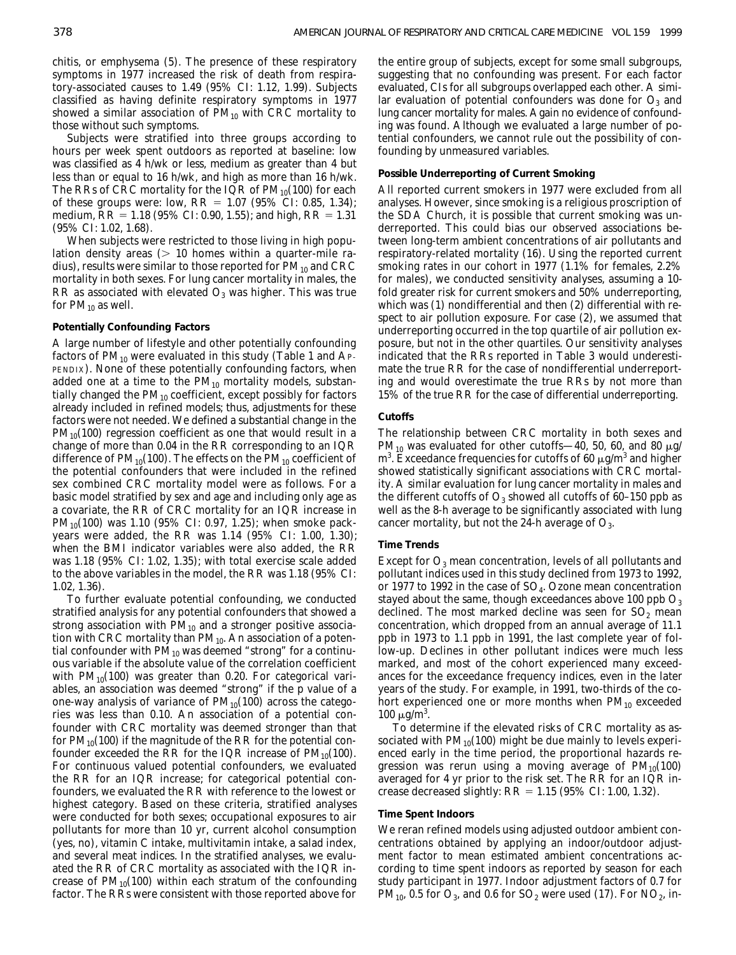chitis, or emphysema (5). The presence of these respiratory symptoms in 1977 increased the risk of death from respiratory-associated causes to 1.49 (95% CI: 1.12, 1.99). Subjects classified as having definite respiratory symptoms in 1977 showed a similar association of  $PM_{10}$  with CRC mortality to those without such symptoms.

Subjects were stratified into three groups according to hours per week spent outdoors as reported at baseline: low was classified as 4 h/wk or less, medium as greater than 4 but less than or equal to 16 h/wk, and high as more than 16 h/wk. The RRs of CRC mortality for the IQR of  $PM_{10}(100)$  for each of these groups were: low,  $RR = 1.07$  (95% CI: 0.85, 1.34); medium,  $RR = 1.18$  (95% CI: 0.90, 1.55); and high,  $RR = 1.31$ (95% CI: 1.02, 1.68).

When subjects were restricted to those living in high population density areas  $(> 10$  homes within a quarter-mile radius), results were similar to those reported for  $PM_{10}$  and CRC mortality in both sexes. For lung cancer mortality in males, the RR as associated with elevated  $O_3$  was higher. This was true for  $PM_{10}$  as well.

## **Potentially Confounding Factors**

A large number of lifestyle and other potentially confounding factors of  $PM_{10}$  were evaluated in this study (Table 1 and AP-PENDIX). None of these potentially confounding factors, when added one at a time to the  $PM_{10}$  mortality models, substantially changed the  $PM_{10}$  coefficient, except possibly for factors already included in refined models; thus, adjustments for these factors were not needed. We defined a substantial change in the  $PM_{10}(100)$  regression coefficient as one that would result in a change of more than 0.04 in the RR corresponding to an IQR difference of  $PM_{10}(100)$ . The effects on the  $PM_{10}$  coefficient of the potential confounders that were included in the refined sex combined CRC mortality model were as follows. For a basic model stratified by sex and age and including only age as a covariate, the RR of CRC mortality for an IQR increase in  $PM_{10}(100)$  was 1.10 (95% CI: 0.97, 1.25); when smoke packyears were added, the RR was 1.14 (95% CI: 1.00, 1.30); when the BMI indicator variables were also added, the RR was 1.18 (95% CI: 1.02, 1.35); with total exercise scale added to the above variables in the model, the RR was 1.18 (95% CI: 1.02, 1.36).

To further evaluate potential confounding, we conducted stratified analysis for any potential confounders that showed a strong association with  $PM_{10}$  and a stronger positive association with CRC mortality than  $PM_{10}$ . An association of a potential confounder with  $PM_{10}$  was deemed "strong" for a continuous variable if the absolute value of the correlation coefficient with  $PM_{10}(100)$  was greater than 0.20. For categorical variables, an association was deemed "strong" if the p value of a one-way analysis of variance of  $PM_{10}(100)$  across the categories was less than 0.10. An association of a potential confounder with CRC mortality was deemed stronger than that for  $PM_{10}(100)$  if the magnitude of the RR for the potential confounder exceeded the RR for the IQR increase of  $PM_{10}(100)$ . For continuous valued potential confounders, we evaluated the RR for an IQR increase; for categorical potential confounders, we evaluated the RR with reference to the lowest or highest category. Based on these criteria, stratified analyses were conducted for both sexes; occupational exposures to air pollutants for more than 10 yr, current alcohol consumption (yes, no), vitamin C intake, multivitamin intake, a salad index, and several meat indices. In the stratified analyses, we evaluated the RR of CRC mortality as associated with the IQR increase of  $PM_{10}(100)$  within each stratum of the confounding factor. The RRs were consistent with those reported above for

the entire group of subjects, except for some small subgroups, suggesting that no confounding was present. For each factor evaluated, CIs for all subgroups overlapped each other. A similar evaluation of potential confounders was done for  $O_3$  and lung cancer mortality for males. Again no evidence of confounding was found. Although we evaluated a large number of potential confounders, we cannot rule out the possibility of confounding by unmeasured variables.

## **Possible Underreporting of Current Smoking**

All reported current smokers in 1977 were excluded from all analyses. However, since smoking is a religious proscription of the SDA Church, it is possible that current smoking was underreported. This could bias our observed associations between long-term ambient concentrations of air pollutants and respiratory-related mortality (16). Using the reported current smoking rates in our cohort in 1977 (1.1% for females, 2.2% for males), we conducted sensitivity analyses, assuming a 10 fold greater risk for current smokers and 50% underreporting, which was (*1*) nondifferential and then (*2*) differential with respect to air pollution exposure. For case (*2*), we assumed that underreporting occurred in the top quartile of air pollution exposure, but not in the other quartiles. Our sensitivity analyses indicated that the RRs reported in Table 3 would underestimate the true RR for the case of nondifferential underreporting and would overestimate the true RRs by not more than 15% of the true RR for the case of differential underreporting.

## **Cutoffs**

The relationship between CRC mortality in both sexes and PM<sub>10</sub> was evaluated for other cutoffs—40, 50, 60, and 80  $\mu$ g/ m $^3$ . Exceedance frequencies for cutoffs of 60  $\mu$ g/m $^3$  and higher showed statistically significant associations with CRC mortality. A similar evaluation for lung cancer mortality in males and the different cutoffs of  $O_3$  showed all cutoffs of 60–150 ppb as well as the 8-h average to be significantly associated with lung cancer mortality, but not the 24-h average of  $O_3$ .

#### **Time Trends**

Except for  $O_3$  mean concentration, levels of all pollutants and pollutant indices used in this study declined from 1973 to 1992, or 1977 to 1992 in the case of  $SO_4$ . Ozone mean concentration stayed about the same, though exceedances above 100 ppb  $O_3$ declined. The most marked decline was seen for  $SO_2$  mean concentration, which dropped from an annual average of 11.1 ppb in 1973 to 1.1 ppb in 1991, the last complete year of follow-up. Declines in other pollutant indices were much less marked, and most of the cohort experienced many exceedances for the exceedance frequency indices, even in the later years of the study. For example, in 1991, two-thirds of the cohort experienced one or more months when  $PM_{10}$  exceeded 100  $\mu$ g/m<sup>3</sup>.

To determine if the elevated risks of CRC mortality as associated with  $PM_{10}(100)$  might be due mainly to levels experienced early in the time period, the proportional hazards regression was rerun using a moving average of  $PM_{10}(100)$ averaged for 4 yr prior to the risk set. The RR for an IQR increase decreased slightly:  $RR = 1.15$  (95% CI: 1.00, 1.32).

## **Time Spent Indoors**

We reran refined models using adjusted outdoor ambient concentrations obtained by applying an indoor/outdoor adjustment factor to mean estimated ambient concentrations according to time spent indoors as reported by season for each study participant in 1977. Indoor adjustment factors of 0.7 for  $PM_{10}$ , 0.5 for  $O_3$ , and 0.6 for  $SO_2$  were used (17). For  $NO_2$ , in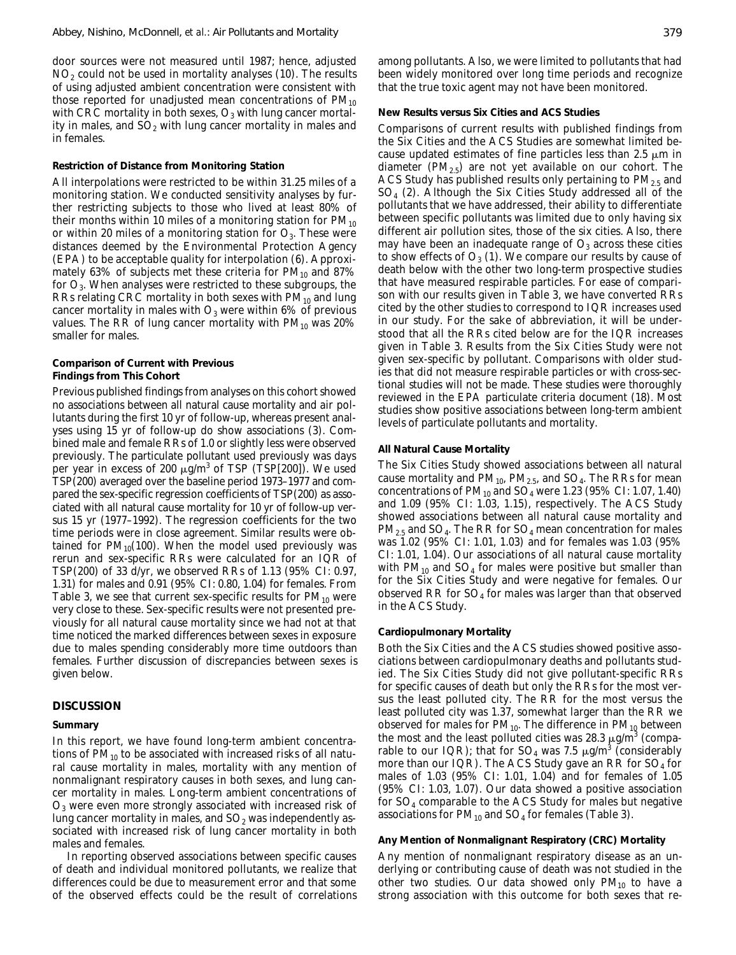door sources were not measured until 1987; hence, adjusted  $NO<sub>2</sub>$  could not be used in mortality analyses (10). The results of using adjusted ambient concentration were consistent with those reported for unadjusted mean concentrations of  $PM_{10}$ with CRC mortality in both sexes,  $O_3$  with lung cancer mortality in males, and  $SO<sub>2</sub>$  with lung cancer mortality in males and in females.

#### **Restriction of Distance from Monitoring Station**

All interpolations were restricted to be within 31.25 miles of a monitoring station. We conducted sensitivity analyses by further restricting subjects to those who lived at least 80% of their months within 10 miles of a monitoring station for  $PM_{10}$ or within 20 miles of a monitoring station for  $O_3$ . These were distances deemed by the Environmental Protection Agency (EPA) to be acceptable quality for interpolation (6). Approximately 63% of subjects met these criteria for  $PM_{10}$  and 87% for  $O_3$ . When analyses were restricted to these subgroups, the RRs relating CRC mortality in both sexes with  $PM_{10}$  and lung cancer mortality in males with  $O_3$  were within 6% of previous values. The RR of lung cancer mortality with  $PM_{10}$  was 20% smaller for males.

## **Comparison of Current with Previous Findings from This Cohort**

Previous published findings from analyses on this cohort showed no associations between all natural cause mortality and air pollutants during the first 10 yr of follow-up, whereas present analyses using 15 yr of follow-up do show associations (3). Combined male and female RRs of 1.0 or slightly less were observed previously. The particulate pollutant used previously was days per year in excess of 200  $\mu$ g/m<sup>3</sup> of TSP (TSP[200]). We used TSP(200) averaged over the baseline period 1973–1977 and compared the sex-specific regression coefficients of TSP(200) as associated with all natural cause mortality for 10 yr of follow-up versus 15 yr (1977–1992). The regression coefficients for the two time periods were in close agreement. Similar results were obtained for  $PM_{10}(100)$ . When the model used previously was rerun and sex-specific RRs were calculated for an IQR of TSP(200) of 33 d/yr, we observed RRs of 1.13 (95% CI: 0.97, 1.31) for males and 0.91 (95% CI: 0.80, 1.04) for females. From Table 3, we see that current sex-specific results for  $PM_{10}$  were very close to these. Sex-specific results were not presented previously for all natural cause mortality since we had not at that time noticed the marked differences between sexes in exposure due to males spending considerably more time outdoors than females. Further discussion of discrepancies between sexes is given below.

#### **DISCUSSION**

#### **Summary**

In this report, we have found long-term ambient concentrations of  $PM_{10}$  to be associated with increased risks of all natural cause mortality in males, mortality with any mention of nonmalignant respiratory causes in both sexes, and lung cancer mortality in males. Long-term ambient concentrations of O3 were even more strongly associated with increased risk of lung cancer mortality in males, and  $SO<sub>2</sub>$  was independently associated with increased risk of lung cancer mortality in both males and females.

In reporting observed associations between specific causes of death and individual monitored pollutants, we realize that differences could be due to measurement error and that some of the observed effects could be the result of correlations among pollutants. Also, we were limited to pollutants that had been widely monitored over long time periods and recognize that the true toxic agent may not have been monitored.

#### **New Results versus Six Cities and ACS Studies**

Comparisons of current results with published findings from the Six Cities and the ACS Studies are somewhat limited because updated estimates of fine particles less than 2.5  $\mu$ m in diameter  $(PM_{2.5})$  are not yet available on our cohort. The ACS Study has published results only pertaining to  $PM_{2.5}$  and SO4 (2). Although the Six Cities Study addressed all of the pollutants that we have addressed, their ability to differentiate between specific pollutants was limited due to only having six different air pollution sites, those of the six cities. Also, there may have been an inadequate range of  $O_3$  across these cities to show effects of  $O_3$  (1). We compare our results by cause of death below with the other two long-term prospective studies that have measured respirable particles. For ease of comparison with our results given in Table 3, we have converted RRs cited by the other studies to correspond to IQR increases used in our study. For the sake of abbreviation, it will be understood that all the RRs cited below are for the IQR increases given in Table 3. Results from the Six Cities Study were not given sex-specific by pollutant. Comparisons with older studies that did not measure respirable particles or with cross-sectional studies will not be made. These studies were thoroughly reviewed in the EPA particulate criteria document (18). Most studies show positive associations between long-term ambient levels of particulate pollutants and mortality.

## **All Natural Cause Mortality**

The Six Cities Study showed associations between all natural cause mortality and  $PM_{10}$ ,  $PM_{2.5}$ , and  $SO_4$ . The RRs for mean concentrations of  $PM_{10}$  and  $SO_4$  were 1.23 (95% CI: 1.07, 1.40) and 1.09 (95% CI: 1.03, 1.15), respectively. The ACS Study showed associations between all natural cause mortality and  $PM_{2.5}$  and SO<sub>4</sub>. The RR for SO<sub>4</sub> mean concentration for males was 1.02 (95% CI: 1.01, 1.03) and for females was 1.03 (95% CI: 1.01, 1.04). Our associations of all natural cause mortality with  $PM_{10}$  and  $SO_4$  for males were positive but smaller than for the Six Cities Study and were negative for females. Our observed RR for  $SO_4$  for males was larger than that observed in the ACS Study.

#### **Cardiopulmonary Mortality**

Both the Six Cities and the ACS studies showed positive associations between cardiopulmonary deaths and pollutants studied. The Six Cities Study did not give pollutant-specific RRs for specific causes of death but only the RRs for the most versus the least polluted city. The RR for the most versus the least polluted city was 1.37, somewhat larger than the RR we observed for males for  $PM_{10}$ . The difference in  $PM_{10}$  between the most and the least polluted cities was 28.3  $\mu$ g/m $^3$  (comparable to our IQR); that for SO<sub>4</sub> was 7.5  $\mu$ g/m<sup>3</sup> (considerably more than our IQR). The ACS Study gave an RR for  $SO_4$  for males of 1.03 (95% CI: 1.01, 1.04) and for females of 1.05 (95% CI: 1.03, 1.07). Our data showed a positive association for SO4 comparable to the ACS Study for males but negative associations for  $PM_{10}$  and  $SO_4$  for females (Table 3).

## **Any Mention of Nonmalignant Respiratory (CRC) Mortality**

Any mention of nonmalignant respiratory disease as an underlying or contributing cause of death was not studied in the other two studies. Our data showed only  $PM_{10}$  to have a strong association with this outcome for both sexes that re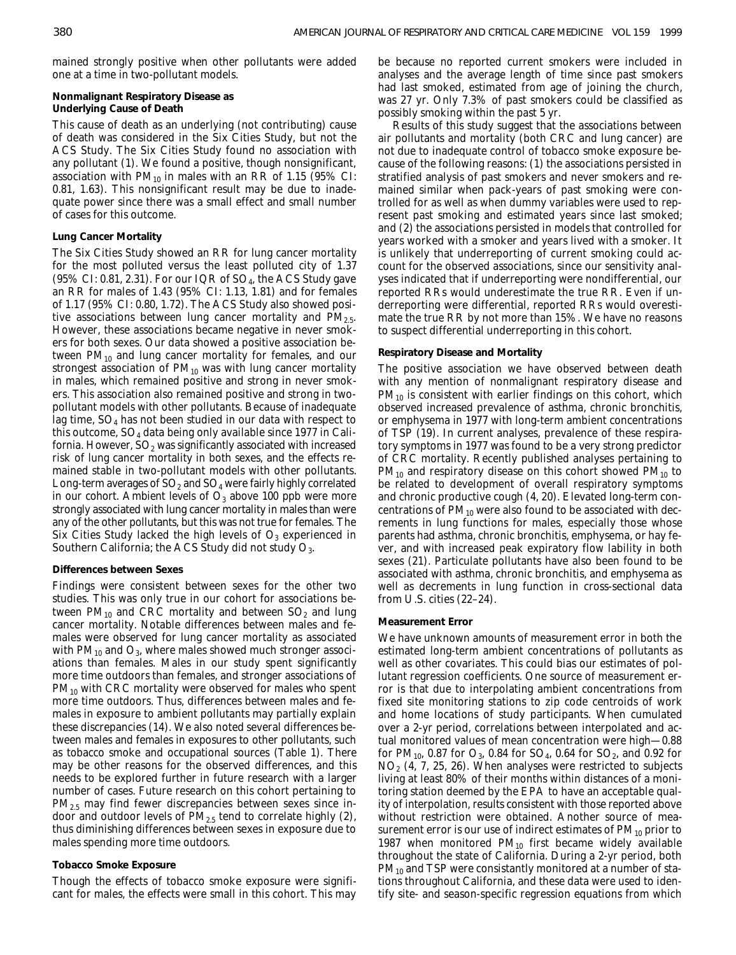mained strongly positive when other pollutants were added one at a time in two-pollutant models.

**Nonmalignant Respiratory Disease as Underlying Cause of Death**

This cause of death as an underlying (not contributing) cause of death was considered in the Six Cities Study, but not the ACS Study. The Six Cities Study found no association with any pollutant (1). We found a positive, though nonsignificant, association with  $PM_{10}$  in males with an RR of 1.15 (95% CI: 0.81, 1.63). This nonsignificant result may be due to inadequate power since there was a small effect and small number of cases for this outcome.

## **Lung Cancer Mortality**

The Six Cities Study showed an RR for lung cancer mortality for the most polluted versus the least polluted city of 1.37  $(95\% \text{ CI: } 0.81, 2.31)$ . For our IQR of SO<sub>4</sub>, the ACS Study gave an RR for males of 1.43 (95% CI: 1.13, 1.81) and for females of 1.17 (95% CI: 0.80, 1.72). The ACS Study also showed positive associations between lung cancer mortality and  $PM_{2.5}$ . However, these associations became negative in never smokers for both sexes. Our data showed a positive association between  $PM_{10}$  and lung cancer mortality for females, and our strongest association of  $PM_{10}$  was with lung cancer mortality in males, which remained positive and strong in never smokers. This association also remained positive and strong in twopollutant models with other pollutants. Because of inadequate lag time,  $SO_4$  has not been studied in our data with respect to this outcome,  $SO_4$  data being only available since 1977 in California. However,  $SO_2$  was significantly associated with increased risk of lung cancer mortality in both sexes, and the effects remained stable in two-pollutant models with other pollutants. Long-term averages of  $SO_2$  and  $SO_4$  were fairly highly correlated in our cohort. Ambient levels of  $O_3$  above 100 ppb were more strongly associated with lung cancer mortality in males than were any of the other pollutants, but this was not true for females. The Six Cities Study lacked the high levels of  $O<sub>3</sub>$  experienced in Southern California; the ACS Study did not study  $O_3$ .

## **Differences between Sexes**

Findings were consistent between sexes for the other two studies. This was only true in our cohort for associations between  $PM_{10}$  and CRC mortality and between  $SO_2$  and lung cancer mortality. Notable differences between males and females were observed for lung cancer mortality as associated with  $PM_{10}$  and  $O_3$ , where males showed much stronger associations than females. Males in our study spent significantly more time outdoors than females, and stronger associations of  $PM_{10}$  with CRC mortality were observed for males who spent more time outdoors. Thus, differences between males and females in exposure to ambient pollutants may partially explain these discrepancies (14). We also noted several differences between males and females in exposures to other pollutants, such as tobacco smoke and occupational sources (Table 1). There may be other reasons for the observed differences, and this needs to be explored further in future research with a larger number of cases. Future research on this cohort pertaining to PM2.5 may find fewer discrepancies between sexes since indoor and outdoor levels of  $PM_{2.5}$  tend to correlate highly (2), thus diminishing differences between sexes in exposure due to males spending more time outdoors.

## **Tobacco Smoke Exposure**

Though the effects of tobacco smoke exposure were significant for males, the effects were small in this cohort. This may be because no reported current smokers were included in analyses and the average length of time since past smokers had last smoked, estimated from age of joining the church, was 27 yr. Only 7.3% of past smokers could be classified as possibly smoking within the past 5 yr.

Results of this study suggest that the associations between air pollutants and mortality (both CRC and lung cancer) are not due to inadequate control of tobacco smoke exposure because of the following reasons: (*1*) the associations persisted in stratified analysis of past smokers and never smokers and remained similar when pack-years of past smoking were controlled for as well as when dummy variables were used to represent past smoking and estimated years since last smoked; and (*2*) the associations persisted in models that controlled for years worked with a smoker and years lived with a smoker. It is unlikely that underreporting of current smoking could account for the observed associations, since our sensitivity analyses indicated that if underreporting were nondifferential, our reported RRs would underestimate the true RR. Even if underreporting were differential, reported RRs would overestimate the true RR by not more than 15%. We have no reasons to suspect differential underreporting in this cohort.

## **Respiratory Disease and Mortality**

The positive association we have observed between death with any mention of nonmalignant respiratory disease and  $PM_{10}$  is consistent with earlier findings on this cohort, which observed increased prevalence of asthma, chronic bronchitis, or emphysema in 1977 with long-term ambient concentrations of TSP (19). In current analyses, prevalence of these respiratory symptoms in 1977 was found to be a very strong predictor of CRC mortality. Recently published analyses pertaining to  $PM_{10}$  and respiratory disease on this cohort showed  $PM_{10}$  to be related to development of overall respiratory symptoms and chronic productive cough (4, 20). Elevated long-term concentrations of  $PM_{10}$  were also found to be associated with decrements in lung functions for males, especially those whose parents had asthma, chronic bronchitis, emphysema, or hay fever, and with increased peak expiratory flow lability in both sexes (21). Particulate pollutants have also been found to be associated with asthma, chronic bronchitis, and emphysema as well as decrements in lung function in cross-sectional data from U.S. cities (22–24).

## **Measurement Error**

We have unknown amounts of measurement error in both the estimated long-term ambient concentrations of pollutants as well as other covariates. This could bias our estimates of pollutant regression coefficients. One source of measurement error is that due to interpolating ambient concentrations from fixed site monitoring stations to zip code centroids of work and home locations of study participants. When cumulated over a 2-yr period, correlations between interpolated and actual monitored values of mean concentration were high—0.88 for PM<sub>10</sub>, 0.87 for  $O_3$ , 0.84 for SO<sub>4</sub>, 0.64 for SO<sub>2</sub>, and 0.92 for  $NO<sub>2</sub>$  (4, 7, 25, 26). When analyses were restricted to subjects living at least 80% of their months within distances of a monitoring station deemed by the EPA to have an acceptable quality of interpolation, results consistent with those reported above without restriction were obtained. Another source of measurement error is our use of indirect estimates of  $PM_{10}$  prior to 1987 when monitored  $PM_{10}$  first became widely available throughout the state of California. During a 2-yr period, both  $PM_{10}$  and TSP were consistantly monitored at a number of stations throughout California, and these data were used to identify site- and season-specific regression equations from which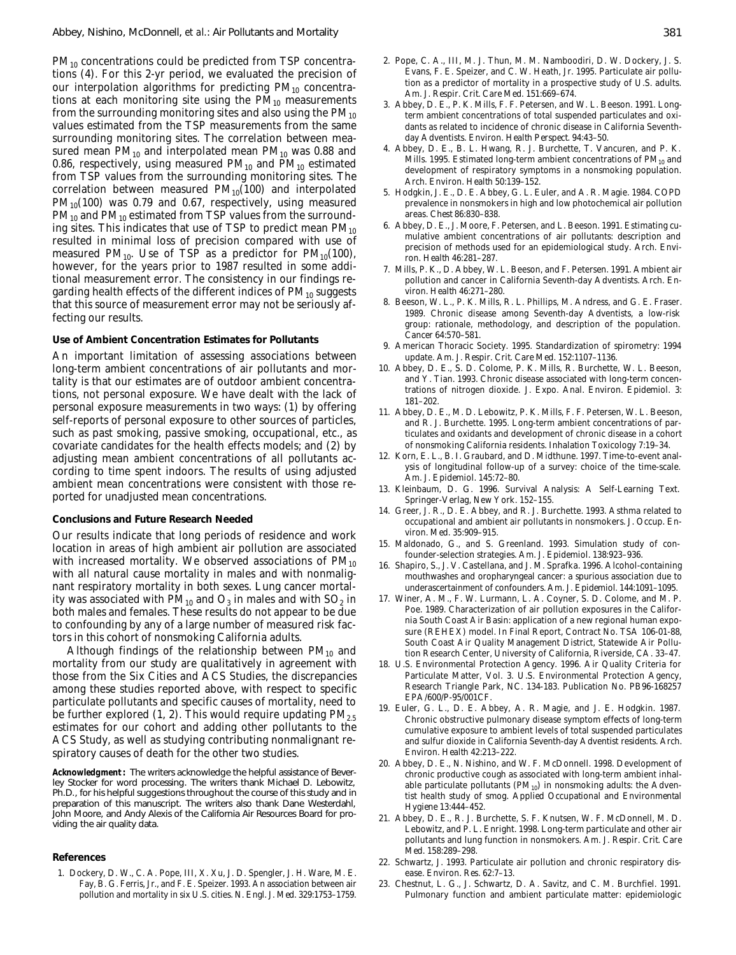$PM_{10}$  concentrations could be predicted from TSP concentrations (4). For this 2-yr period, we evaluated the precision of our interpolation algorithms for predicting  $PM_{10}$  concentrations at each monitoring site using the  $PM_{10}$  measurements from the surrounding monitoring sites and also using the  $PM_{10}$ values estimated from the TSP measurements from the same surrounding monitoring sites. The correlation between measured mean  $PM_{10}$  and interpolated mean  $PM_{10}$  was 0.88 and 0.86, respectively, using measured  $PM_{10}$  and  $PM_{10}$  estimated from TSP values from the surrounding monitoring sites. The correlation between measured  $PM<sub>10</sub>(100)$  and interpolated  $PM_{10}(100)$  was 0.79 and 0.67, respectively, using measured  $PM_{10}$  and  $PM_{10}$  estimated from TSP values from the surrounding sites. This indicates that use of TSP to predict mean  $PM_{10}$ resulted in minimal loss of precision compared with use of measured PM<sub>10</sub>. Use of TSP as a predictor for PM<sub>10</sub>(100), however, for the years prior to 1987 resulted in some additional measurement error. The consistency in our findings regarding health effects of the different indices of  $PM_{10}$  suggests that this source of measurement error may not be seriously affecting our results.

# **Use of Ambient Concentration Estimates for Pollutants**

An important limitation of assessing associations between long-term ambient concentrations of air pollutants and mortality is that our estimates are of outdoor ambient concentrations, not personal exposure. We have dealt with the lack of personal exposure measurements in two ways: (*1*) by offering self-reports of personal exposure to other sources of particles, such as past smoking, passive smoking, occupational, etc., as covariate candidates for the health effects models; and (*2*) by adjusting mean ambient concentrations of all pollutants according to time spent indoors. The results of using adjusted ambient mean concentrations were consistent with those reported for unadjusted mean concentrations.

# **Conclusions and Future Research Needed**

Our results indicate that long periods of residence and work location in areas of high ambient air pollution are associated with increased mortality. We observed associations of  $PM_{10}$ with all natural cause mortality in males and with nonmalignant respiratory mortality in both sexes. Lung cancer mortality was associated with  $PM_{10}$  and  $O_3$  in males and with  $SO_2$  in both males and females. These results do not appear to be due to confounding by any of a large number of measured risk factors in this cohort of nonsmoking California adults.

Although findings of the relationship between  $PM_{10}$  and mortality from our study are qualitatively in agreement with those from the Six Cities and ACS Studies, the discrepancies among these studies reported above, with respect to specific particulate pollutants and specific causes of mortality, need to be further explored  $(1, 2)$ . This would require updating  $PM_{2.5}$ estimates for our cohort and adding other pollutants to the ACS Study, as well as studying contributing nonmalignant respiratory causes of death for the other two studies.

*Acknowledgment***:** The writers acknowledge the helpful assistance of Beverley Stocker for word processing. The writers thank Michael D. Lebowitz, Ph.D., for his helpful suggestions throughout the course of this study and in preparation of this manuscript. The writers also thank Dane Westerdahl, John Moore, and Andy Alexis of the California Air Resources Board for providing the air quality data.

#### **References**

1. Dockery, D. W., C. A. Pope, III, X. Xu, J. D. Spengler, J. H. Ware, M. E. Fay, B. G. Ferris, Jr., and F. E. Speizer. 1993. An association between air pollution and mortality in six U.S. cities. *N. Engl. J. Med*. 329:1753–1759.

- 2. Pope, C. A., III, M. J. Thun, M. M. Namboodiri, D. W. Dockery, J. S. Evans, F. E. Speizer, and C. W. Heath, Jr. 1995. Particulate air pollution as a predictor of mortality in a prospective study of U.S. adults. *Am. J. Respir. Crit. Care Med*. 151:669–674.
- 3. Abbey, D. E., P. K. Mills, F. F. Petersen, and W. L. Beeson. 1991. Longterm ambient concentrations of total suspended particulates and oxidants as related to incidence of chronic disease in California Seventhday Adventists. *Environ. Health Perspect.* 94:43–50.
- 4. Abbey, D. E., B. L. Hwang, R. J. Burchette, T. Vancuren, and P. K. Mills. 1995. Estimated long-term ambient concentrations of  $PM_{10}$  and development of respiratory symptoms in a nonsmoking population. *Arch. Environ. Health* 50:139–152.
- 5. Hodgkin, J. E., D. E. Abbey, G. L. Euler, and A. R. Magie. 1984. COPD prevalence in nonsmokers in high and low photochemical air pollution areas. *Chest* 86:830–838.
- 6. Abbey, D. E., J. Moore, F. Petersen, and L. Beeson. 1991. Estimating cumulative ambient concentrations of air pollutants: description and precision of methods used for an epidemiological study. *Arch. Environ. Health* 46:281–287.
- 7. Mills, P. K., D. Abbey, W. L. Beeson, and F. Petersen. 1991. Ambient air pollution and cancer in California Seventh-day Adventists. *Arch. Environ. Health* 46:271–280.
- 8. Beeson, W. L., P. K. Mills, R. L. Phillips, M. Andress, and G. E. Fraser. 1989. Chronic disease among Seventh-day Adventists, a low-risk group: rationale, methodology, and description of the population. *Cancer* 64:570–581.
- 9. American Thoracic Society. 1995. Standardization of spirometry: 1994 update. *Am. J. Respir. Crit. Care Med.* 152:1107–1136.
- 10. Abbey, D. E., S. D. Colome, P. K. Mills, R. Burchette, W. L. Beeson, and Y. Tian. 1993. Chronic disease associated with long-term concentrations of nitrogen dioxide. *J. Expo. Anal. Environ. Epidemiol.* 3: 181–202.
- 11. Abbey, D. E., M. D. Lebowitz, P. K. Mills, F. F. Petersen, W. L. Beeson, and R. J. Burchette. 1995. Long-term ambient concentrations of particulates and oxidants and development of chronic disease in a cohort of nonsmoking California residents. *Inhalation Toxicology* 7:19–34.
- 12. Korn, E. L., B. I. Graubard, and D. Midthune. 1997. Time-to-event analysis of longitudinal follow-up of a survey: choice of the time-scale. *Am. J. Epidemiol.* 145:72–80.
- 13. Kleinbaum, D. G. 1996. Survival Analysis: A Self-Learning Text. Springer-Verlag, New York. 152–155.
- 14. Greer, J. R., D. E. Abbey, and R. J. Burchette. 1993. Asthma related to occupational and ambient air pollutants in nonsmokers. *J. Occup. Environ. Med.* 35:909–915.
- 15. Maldonado, G., and S. Greenland. 1993. Simulation study of confounder-selection strategies. *Am. J. Epidemiol.* 138:923–936.
- 16. Shapiro, S., J. V. Castellana, and J. M. Sprafka. 1996. Alcohol-containing mouthwashes and oropharyngeal cancer: a spurious association due to underascertainment of confounders. *Am. J. Epidemiol*. 144:1091–1095.
- 17. Winer, A. M., F. W. Lurmann, L. A. Coyner, S. D. Colome, and M. P. Poe. 1989. Characterization of air pollution exposures in the California South Coast Air Basin: application of a new regional human exposure (REHEX) model. *In* Final Report, Contract No. TSA 106-01-88, South Coast Air Quality Management District, Statewide Air Pollution Research Center, University of California, Riverside, CA. 33–47.
- 18. U.S. Environmental Protection Agency. 1996. Air Quality Criteria for Particulate Matter, Vol. 3. U.S. Environmental Protection Agency, Research Triangle Park, NC. 134-183. Publication No. PB96-168257 EPA/600/P-95/001CF.
- 19. Euler, G. L., D. E. Abbey, A. R. Magie, and J. E. Hodgkin. 1987. Chronic obstructive pulmonary disease symptom effects of long-term cumulative exposure to ambient levels of total suspended particulates and sulfur dioxide in California Seventh-day Adventist residents. *Arch. Environ. Health* 42:213–222.
- 20. Abbey, D. E., N. Nishino, and W. F. McDonnell. 1998. Development of chronic productive cough as associated with long-term ambient inhalable particulate pollutants  $(PM_{10})$  in nonsmoking adults: the Adventist health study of smog. *Applied Occupational and Environmental Hygiene* 13:444–452.
- 21. Abbey, D. E., R. J. Burchette, S. F. Knutsen, W. F. McDonnell, M. D. Lebowitz, and P. L. Enright. 1998. Long-term particulate and other air pollutants and lung function in nonsmokers. *Am. J. Respir. Crit. Care Med.* 158:289–298.
- 22. Schwartz, J. 1993. Particulate air pollution and chronic respiratory disease. *Environ. Res.* 62:7–13.
- 23. Chestnut, L. G., J. Schwartz, D. A. Savitz, and C. M. Burchfiel. 1991. Pulmonary function and ambient particulate matter: epidemiologic